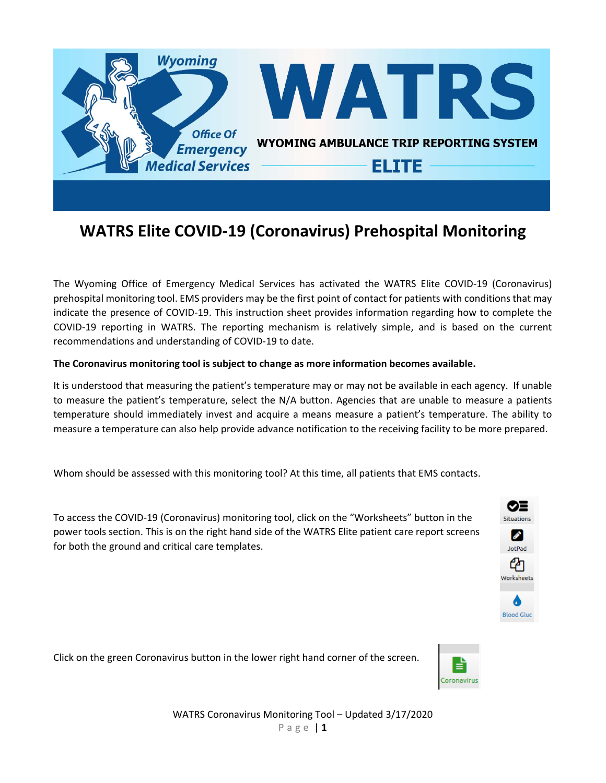

# **WATRS Elite COVID‐19 (Coronavirus) Prehospital Monitoring**

The Wyoming Office of Emergency Medical Services has activated the WATRS Elite COVID‐19 (Coronavirus) prehospital monitoring tool. EMS providers may be the first point of contact for patients with conditions that may indicate the presence of COVID‐19. This instruction sheet provides information regarding how to complete the COVID‐19 reporting in WATRS. The reporting mechanism is relatively simple, and is based on the current recommendations and understanding of COVID‐19 to date.

# **The Coronavirus monitoring tool is subject to change as more information becomes available.**

It is understood that measuring the patient's temperature may or may not be available in each agency. If unable to measure the patient's temperature, select the N/A button. Agencies that are unable to measure a patients temperature should immediately invest and acquire a means measure a patient's temperature. The ability to measure a temperature can also help provide advance notification to the receiving facility to be more prepared.

Whom should be assessed with this monitoring tool? At this time, all patients that EMS contacts.

To access the COVID‐19 (Coronavirus) monitoring tool, click on the "Worksheets" button in the power tools section. This is on the right hand side of the WATRS Elite patient care report screens for both the ground and critical care templates.



Click on the green Coronavirus button in the lower right hand corner of the screen.

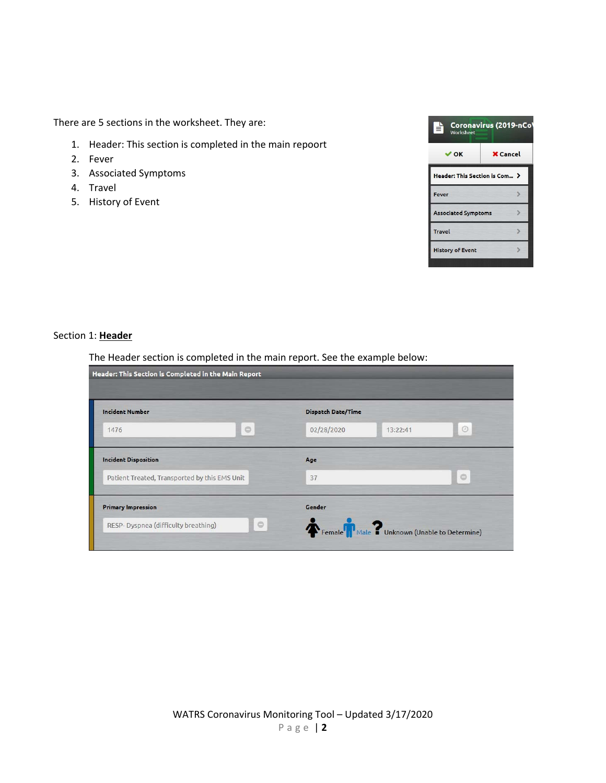There are 5 sections in the worksheet. They are:

- 1. Header: This section is completed in the main repoort
- 2. Fever
- 3. Associated Symptoms
- 4. Travel
- 5. History of Event



#### Section 1: **Header**

The Header section is completed in the main report. See the example below:

| Header: This Section is Completed in the Main Report                         |                                                       |            |
|------------------------------------------------------------------------------|-------------------------------------------------------|------------|
| <b>Incident Number</b><br>$\circ$<br>1476                                    | <b>Dispatch Date/Time</b><br>02/28/2020<br>13:22:41   | $_{\odot}$ |
| <b>Incident Disposition</b><br>Patient Treated, Transported by this EMS Unit | Age<br>37                                             | $\circ$    |
| <b>Primary Impression</b><br>$\Theta$<br>RESP-Dyspnea (difficulty breathing) | Gender<br>Female Male ? Unknown (Unable to Determine) |            |

WATRS Coronavirus Monitoring Tool – Updated 3/17/2020 Page | **2**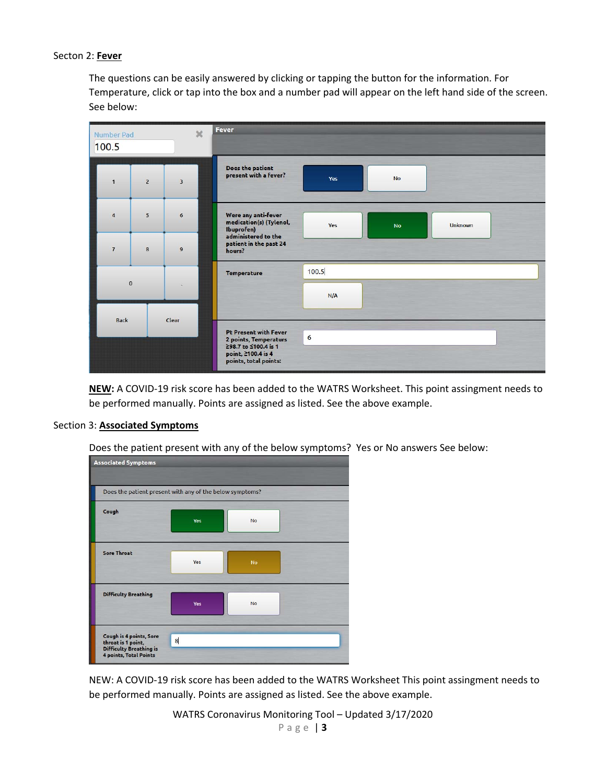## Secton 2: **Fever**

The questions can be easily answered by clicking or tapping the button for the information. For Temperature, click or tap into the box and a number pad will appear on the left hand side of the screen. See below:

| Number Pad<br>100.5 |                | $\chi$       | Fever                                                                                        |       |           |                |  |
|---------------------|----------------|--------------|----------------------------------------------------------------------------------------------|-------|-----------|----------------|--|
| $\mathbf{1}$        | $\overline{2}$ | 3            | Does the patient<br>present with a fever?                                                    | Yes   | <b>No</b> |                |  |
| $\overline{4}$      | 5 <sup>5</sup> | 6            | Were any anti-fever<br>medication(s) (Tylenol,<br>Ibuprofen)<br>administered to the          | Yes   | <b>No</b> | <b>Unknown</b> |  |
| $\overline{7}$      | 8              | $\mathbf{9}$ | patient in the past 24<br>hours?                                                             |       |           |                |  |
| $\bf{0}$            |                |              | <b>Temperature</b>                                                                           | 100.5 |           |                |  |
|                     |                |              |                                                                                              | N/A   |           |                |  |
| <b>Back</b>         |                | Clear        | <b>Pt Present with Fever</b>                                                                 | 6     |           |                |  |
|                     |                |              | 2 points, Temperaturs<br>≥98.7 to ≤100.4 is 1<br>point, 2100.4 is 4<br>points, total points: |       |           |                |  |

**NEW:** A COVID‐19 risk score has been added to the WATRS Worksheet. This point assingment needs to be performed manually. Points are assigned as listed. See the above example.

#### Section 3: **Associated Symptoms**

Does the patient present with any of the below symptoms? Yes or No answers See below:



NEW: A COVID‐19 risk score has been added to the WATRS Worksheet This point assingment needs to be performed manually. Points are assigned as listed. See the above example.

WATRS Coronavirus Monitoring Tool – Updated 3/17/2020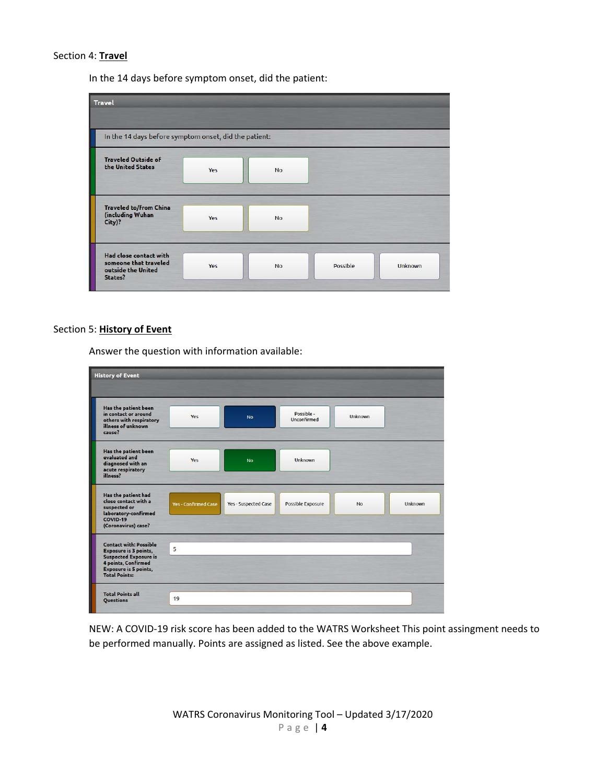## Section 4: **Travel**

In the 14 days before symptom onset, did the patient:

| <b>Travel</b>                                                                    |     |           |          |         |
|----------------------------------------------------------------------------------|-----|-----------|----------|---------|
| In the 14 days before symptom onset, did the patient:                            |     |           |          |         |
| <b>Traveled Outside of</b><br>the United States                                  | Yes | <b>No</b> |          |         |
| <b>Traveled to/from China</b><br>(including Wuhan<br>City)?                      | Yes | <b>No</b> |          |         |
| Had close contact with<br>someone that traveled<br>outside the United<br>States? | Yes | <b>No</b> | Possible | Unknown |

#### Section 5: **History of Event**

Answer the question with information available:

| <b>History of Event</b>                                                                                                                                        |                             |                      |                           |                |                |
|----------------------------------------------------------------------------------------------------------------------------------------------------------------|-----------------------------|----------------------|---------------------------|----------------|----------------|
| Has the patient been<br>in contact or around<br>others with respiratory<br>illness of unknown<br>cause?                                                        | Yes                         | <b>No</b>            | Possible -<br>Unconfirmed | <b>Unknown</b> |                |
| Has the patient been<br>evaluated and<br>diagnosed with an<br>acute respiratory<br>illness?                                                                    | Yes                         | <b>No</b>            | <b>Unknown</b>            |                |                |
| Has the patient had<br>close contact with a<br>suspected or<br>laboratory-confirmed<br>COVID-19<br>(Coronavirus) case?                                         | <b>Yes - Confirmed Case</b> | Yes - Suspected Case | <b>Possible Exposure</b>  | <b>No</b>      | <b>Unknown</b> |
| <b>Contact with: Possible</b><br>Exposure is 3 points,<br><b>Suspected Exposure is</b><br>4 points, Confirmed<br>Exposure is 5 points,<br><b>Total Points:</b> | 5                           |                      |                           |                |                |
| <b>Total Points all</b><br>Questions                                                                                                                           | 19                          |                      |                           |                |                |

NEW: A COVID‐19 risk score has been added to the WATRS Worksheet This point assingment needs to be performed manually. Points are assigned as listed. See the above example.